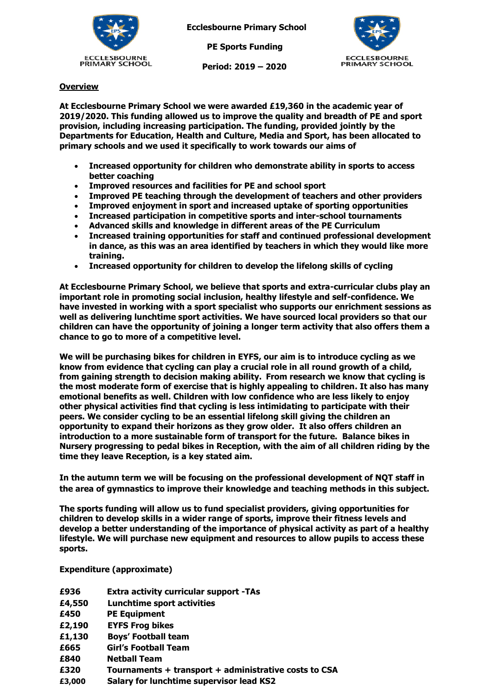

**Ecclesbourne Primary School**

 **PE Sports Funding**

 **Period: 2019 – 2020**



## **Overview**

**At Ecclesbourne Primary School we were awarded £19,360 in the academic year of 2019/2020. This funding allowed us to improve the quality and breadth of PE and sport provision, including increasing participation. The funding, provided jointly by the Departments for Education, Health and Culture, Media and Sport, has been allocated to primary schools and we used it specifically to work towards our aims of** 

- **Increased opportunity for children who demonstrate ability in sports to access better coaching**
- **Improved resources and facilities for PE and school sport**
- **Improved PE teaching through the development of teachers and other providers**
- **Improved enjoyment in sport and increased uptake of sporting opportunities**
- **Increased participation in competitive sports and inter-school tournaments**
- **Advanced skills and knowledge in different areas of the PE Curriculum**
- **Increased training opportunities for staff and continued professional development in dance, as this was an area identified by teachers in which they would like more training.**
- **Increased opportunity for children to develop the lifelong skills of cycling**

**At Ecclesbourne Primary School, we believe that sports and extra-curricular clubs play an important role in promoting social inclusion, healthy lifestyle and self-confidence. We have invested in working with a sport specialist who supports our enrichment sessions as well as delivering lunchtime sport activities. We have sourced local providers so that our children can have the opportunity of joining a longer term activity that also offers them a chance to go to more of a competitive level.** 

**We will be purchasing bikes for children in EYFS, our aim is to introduce cycling as we know from evidence that cycling can play a crucial role in all round growth of a child, from gaining strength to decision making ability. From research we know that cycling is the most moderate form of exercise that is highly appealing to children. It also has many emotional benefits as well. Children with low confidence who are less likely to enjoy other physical activities find that cycling is less intimidating to participate with their peers. We consider cycling to be an essential lifelong skill giving the children an opportunity to expand their horizons as they grow older. It also offers children an introduction to a more sustainable form of transport for the future. Balance bikes in Nursery progressing to pedal bikes in Reception, with the aim of all children riding by the time they leave Reception, is a key stated aim.**

**In the autumn term we will be focusing on the professional development of NQT staff in the area of gymnastics to improve their knowledge and teaching methods in this subject.**

**The sports funding will allow us to fund specialist providers, giving opportunities for children to develop skills in a wider range of sports, improve their fitness levels and develop a better understanding of the importance of physical activity as part of a healthy lifestyle. We will purchase new equipment and resources to allow pupils to access these sports.**

**Expenditure (approximate)**

| £936   | <b>Extra activity curricular support -TAs</b>         |
|--------|-------------------------------------------------------|
| £4,550 | <b>Lunchtime sport activities</b>                     |
| £450   | <b>PE Equipment</b>                                   |
| £2,190 | <b>EYFS Frog bikes</b>                                |
| £1,130 | <b>Boys' Football team</b>                            |
| £665   | <b>Girl's Football Team</b>                           |
| £840   | <b>Netball Team</b>                                   |
| £320   | Tournaments + transport + administrative costs to CSA |
| £3,000 | Salary for lunchtime supervisor lead KS2              |